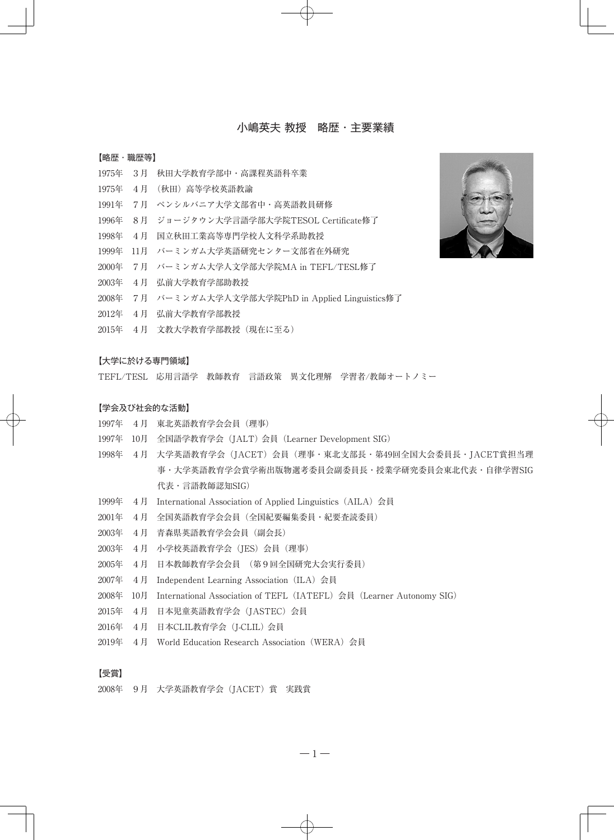# 小嶋英夫 教授 略歴・主要業績

## 【略歴・職歴等】

- 1975年 3月 秋田大学教育学部中・高課程英語科卒業
- 1975年 4月 (秋田)高等学校英語教諭
- 1991年 7月 ペンシルバニア大学文部省中・高英語教員研修
- 1996年 8月 ジョージタウン大学言語学部大学院TESOL Certificate修了
- 1998年 4月 国立秋田工業高等専門学校人文科学系助教授
- 1999年 11月 バーミンガム大学英語研究センター文部省在外研究
- 2000年 7月 バーミンガム大学人文学部大学院MA in TEFL/TESL修了
- 2003年 4月 弘前大学教育学部助教授
- 2008年 7月 バーミンガム大学人文学部大学院PhD in Applied Linguistics修了
- 2012年 4月 弘前大学教育学部教授
- 2015年 4月 文教大学教育学部教授(現在に至る)

### 【大学に於ける専門領域】

TEFL/TESL 応用言語学 教師教育 言語政策 異文化理解 学習者/教師オートノミー

## 【学会及び社会的な活動】

- 1997年 4月 東北英語教育学会会員(理事)
- 1997年 10月 全国語学教育学会(JALT) 会員(Learner Development SIG)
- 1998年 4月 大学英語教育学会(JACET)会員(理事・東北支部長・第49回全国大会委員長・JACET賞担当理 事・大学英語教育学会賞学術出版物選考委員会副委員長・授業学研究委員会東北代表・自律学習SIG 代表・言語教師認知SIG)
- 1999年 4月 International Association of Applied Linguistics(AILA)会員
- 2001年 4月 全国英語教育学会会員(全国紀要編集委員・紀要査読委員)
- 2003年 4月 青森県英語教育学会会員(副会長)
- 2003年 4月 小学校英語教育学会(JES)会員(理事)
- 2005年 4月 日本教師教育学会会員 (第9回全国研究大会実行委員)
- 2007年 4月 Independent Learning Association(ILA)会員
- 2008年 10月 International Association of TEFL(IATEFL)会員(Learner Autonomy SIG)
- 2015年 4月 日本児童英語教育学会(JASTEC)会員
- 2016年 4月 日本CLIL教育学会(J-CLIL) 会員
- 2019年 4月 World Education Research Association(WERA)会員

## 【受賞】

2008年 9月 大学英語教育学会(JACET)賞 実践賞

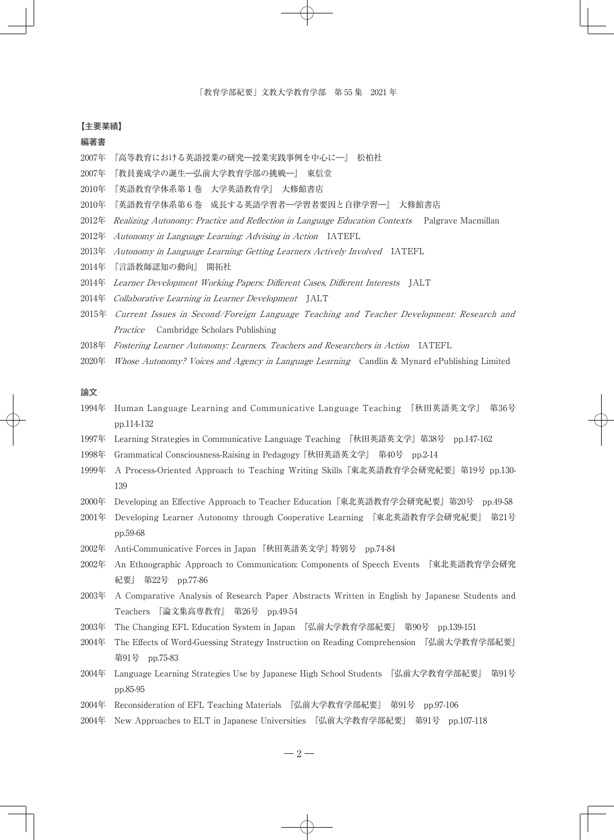#### 【主要業績】

# 編著書

- 2007年 『高等教育における英語授業の研究―授業実践事例を中心に―』 松柏社
- 2007年 『教員養成学の誕生―弘前大学教育学部の挑戦―』 東信堂
- 2010年 『英語教育学体系第1巻 大学英語教育学』 大修館書店
- 2010年 『英語教育学体系第6巻 成長する英語学習者―学習者要因と自律学習―』 大修館書店
- 2012年 Realizing Autonomy: Practice and Reflection in Language Education Contexts Palgrave Macmillan
- 2012年 Autonomy in Language Learning: Advising in Action IATEFL
- 2013年 Autonomy in Language Learning: Getting Learners Actively Involved IATEFL
- 2014年 『言語教師認知の動向』 開拓社
- 2014年 Learner Development Working Papers: Different Cases, Different Interests JALT
- 2014年 Collaborative Learning in Learner Development JALT
- 2015年 Current Issues in Second/Foreign Language Teaching and Teacher Development: Research and Practice Cambridge Scholars Publishing
- 2018年 Fostering Learner Autonomy: Learners, Teachers and Researchers in Action IATEFL
- 2020年 *Whose Autonomy? Voices and Agency in Language Learning* Candlin & Mynard ePublishing Limited

# 論文

- 1994年 Human Language Learning and Communicative Language Teaching 『秋田英語英文学』 第36号 pp.114-132
- 1997年 Learning Strategies in Communicative Language Teaching 『秋田英語英文学』第38号 pp.147-162
- 1998年 Grammatical Consciousness-Raising in Pedagogy 『秋田英語英文学』 第40号 pp.2-14
- 1999年 A Process-Oriented Approach to Teaching Writing Skills『東北英語教育学会研究紀要』第19号 pp.130- 139
- 2000年 Developing an Effective Approach to Teacher Education『東北英語教育学会研究紀要』第20号 pp.49-58
- 2001年 Developing Learner Autonomy through Cooperative Learning 『東北英語教育学会研究紀要』 第21号 pp.59-68
- 2002年 Anti-Communicative Forces in Japan 『秋田英語英文学』 特別号 pp.74-84
- 2002年 An Ethnographic Approach to Communication: Components of Speech Events 『東北英語教育学会研究 紀要』 第22号 pp.77-86
- 2003年 A Comparative Analysis of Research Paper Abstracts Written in English by Japanese Students and Teachers 『論文集高専教育』 第26号 pp.49-54
- 2003年 The Changing EFL Education System in Japan 『弘前大学教育学部紀要』 第90号 pp.139-151
- 2004年 The Effects of Word-Guessing Strategy Instruction on Reading Comprehension 『弘前大学教育学部紀要』 第91号 pp.75-83
- 2004年 Language Learning Strategies Use by Japanese High School Students 『弘前大学教育学部紀要』 第91号 pp.85-95
- 2004年 Reconsideration of EFL Teaching Materials 『弘前大学教育学部紀要』 第91号 pp.97-106
- 2004年 New Approaches to ELT in Japanese Universities 『弘前大学教育学部紀要』 第91号 pp.107-118

 $-2-$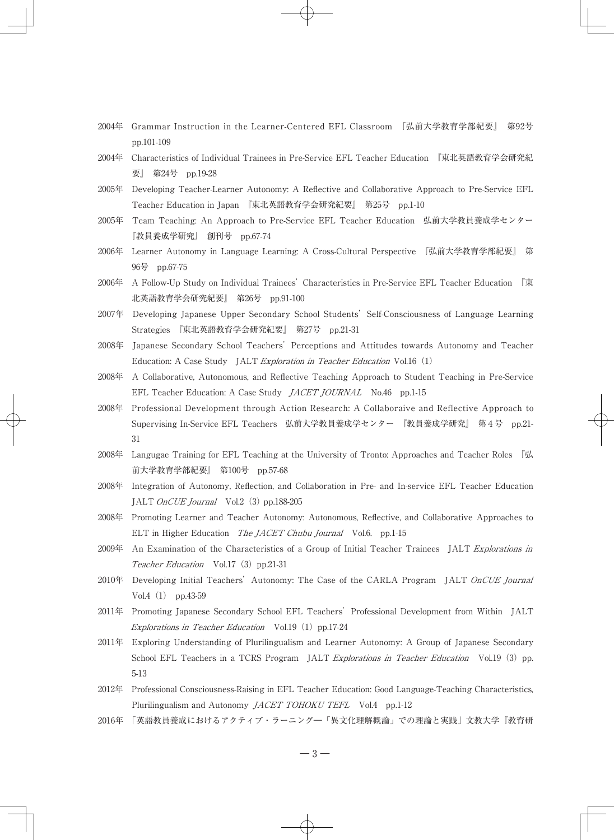- 2004年 Grammar Instruction in the Learner-Centered EFL Classroom 『弘前大学教育学部紀要』 第92号 pp.101-109
- 2004年 Characteristics of Individual Trainees in Pre-Service EFL Teacher Education 『東北英語教育学会研究紀 要』 第24号 pp.19-28
- 2005年 Developing Teacher-Learner Autonomy: A Reflective and Collaborative Approach to Pre-Service EFL Teacher Education in Japan 『東北英語教育学会研究紀要』 第25号 pp.1-10
- 2005年 Team Teaching: An Approach to Pre-Service EFL Teacher Education 弘前大学教員養成学センター 『教員養成学研究』 創刊号 pp.67-74
- 2006年 Learner Autonomy in Language Learning: A Cross-Cultural Perspective 『弘前大学教育学部紀要』 第 96号 pp.67-75
- 2006年 A Follow-Up Study on Individual Trainees' Characteristics in Pre-Service EFL Teacher Education 『東 北英語教育学会研究紀要』 第26号 pp.91-100
- 2007年 Developing Japanese Upper Secondary School Students' Self-Consciousness of Language Learning Strategies 『東北英語教育学会研究紀要』 第27号 pp.21-31
- 2008年 Japanese Secondary School Teachers' Perceptions and Attitudes towards Autonomy and Teacher Education: A Case Study JALT *Exploration in Teacher Education* Vol.16  $(1)$
- 2008年 A Collaborative, Autonomous, and Reflective Teaching Approach to Student Teaching in Pre-Service EFL Teacher Education: A Case Study *JACET JOURNAL* No.46 pp.1-15
- 2008年 Professional Development through Action Research: A Collaboraive and Reflective Approach to Supervising In-Service EFL Teachers 弘前大学教員養成学センター 『教員養成学研究』 第4号 pp.21- 31
- 2008年 Langugae Training for EFL Teaching at the University of Tronto: Approaches and Teacher Roles 『弘 前大学教育学部紀要』 第100号 pp.57-68
- 2008年 Integration of Autonomy, Reflection, and Collaboration in Pre- and In-service EFL Teacher Education JALT OnCUE Journal Vol.2 (3) pp.188-205
- 2008年 Promoting Learner and Teacher Autonomy: Autonomous, Reflective, and Collaborative Approaches to ELT in Higher Education The *IACET Chubu Journal* Vol.6. pp.1-15
- 2009年 An Examination of the Characteristics of a Group of Initial Teacher Trainees JALT Explorations in Teacher Education Vol.17 (3) pp.21-31
- 2010年 Developing Initial Teachers' Autonomy: The Case of the CARLA Program JALT OnCUE Journal Vol.4 (1) pp.43-59
- 2011年 Promoting Japanese Secondary School EFL Teachers'Professional Development from Within JALT Explorations in Teacher Education Vol.19 $(1)$  pp.17-24
- 2011年 Exploring Understanding of Plurilingualism and Learner Autonomy: A Group of Japanese Secondary School EFL Teachers in a TCRS Program JALT *Explorations in Teacher Education* Vol.19 (3) pp. 5-13
- 2012年 Professional Consciousness-Raising in EFL Teacher Education: Good Language-Teaching Characteristics, Plurilingualism and Autonomy *JACET TOHOKU TEFL* Vol.4 pp.1-12
- 2016年 「英語教員養成におけるアクティブ・ラーニング― 「異文化理解概論」 での理論と実践」文教大学『教育研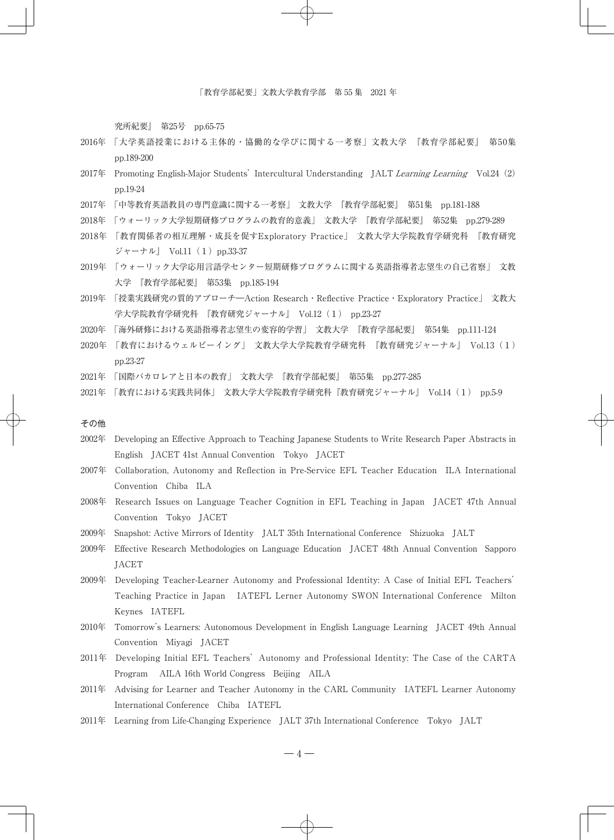究所紀要』 第25号 pp.65-75

- 2016年 「大学英語授業における主体的・協働的な学びに関する一考察」文教大学 『教育学部紀要』 第50集 pp.189-200
- 2017年 Promoting English-Major Students' Intercultural Understanding JALT Learning Learning Vol.24 (2) pp.19-24
- 2017年 「中等教育英語教員の専門意識に関する一考察」 文教大学 『教育学部紀要』 第51集 pp.181-188
- 2018年 「ウォーリック大学短期研修プログラムの教育的意義」 文教大学 『教育学部紀要』 第52集 pp.279-289
- 2018年 「教育関係者の相互理解・成長を促すExploratory Practice」 文教大学大学院教育学研究科 『教育研究 ジャーナル』 Vol.11 (1) pp.33-37
- 2019年 「ウォーリック大学応用言語学センター短期研修プログラムに関する英語指導者志望生の自己省察」 文教 大学 『教育学部紀要』 第53集 pp.185-194
- 2019年 「授業実践研究の質的アプローチ―Action Research・Reflective Practice・Exploratory Practice」 文教大 学大学院教育学研究科 『教育研究ジャーナル』 Vol.12(1) pp.23-27
- 2020年 「海外研修における英語指導者志望生の変容的学習」 文教大学 『教育学部紀要』 第54集 pp.111-124
- 2020年 「教育におけるウェルビーイング」 文教大学大学院教育学研究科 『教育研究ジャーナル』 Vol.13(1) pp.23-27
- 2021年 「国際バカロレアと日本の教育」 文教大学 『教育学部紀要』 第55集 pp.277-285
- 2021年 「教育における実践共同体」 文教大学大学院教育学研究科『教育研究ジャーナル』 Vol.14(1) pp.5-9

#### その他

- 2002年 Developing an Effective Approach to Teaching Japanese Students to Write Research Paper Abstracts in English JACET 41st Annual Convention Tokyo JACET
- 2007年 Collaboration, Autonomy and Reflection in Pre-Service EFL Teacher Education ILA International Convention Chiba ILA
- 2008年 Research Issues on Language Teacher Cognition in EFL Teaching in Japan JACET 47th Annual Convention Tokyo JACET
- 2009年 Snapshot: Active Mirrors of Identity JALT 35th International Conference Shizuoka JALT
- 2009年 Effective Research Methodologies on Language Education JACET 48th Annual Convention Sapporo JACET
- 2009年 Developing Teacher-Learner Autonomy and Professional Identity: A Case of Initial EFL Teachers' Teaching Practice in Japan IATEFL Lerner Autonomy SWON International Conference Milton Keynes IATEFL
- 2010年 Tomorrow's Learners: Autonomous Development in English Language Learning JACET 49th Annual Convention Miyagi JACET
- 2011年 Developing Initial EFL Teachers' Autonomy and Professional Identity: The Case of the CARTA Program AILA 16th World Congress Beijing AILA
- 2011年 Advising for Learner and Teacher Autonomy in the CARL Community IATEFL Learner Autonomy International Conference Chiba IATEFL
- 2011年 Learning from Life-Changing Experience JALT 37th International Conference Tokyo JALT

 $-4-$